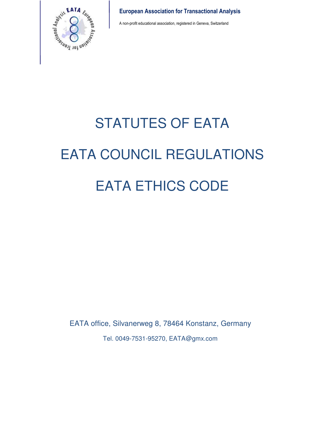

A non-profit educational association, registered in Geneva, Switzerland

# STATUTES OF EATA EATA COUNCIL REGULATIONS EATA ETHICS CODE

EATA office, Silvanerweg 8, 78464 Konstanz, Germany Tel. 0049-7531-95270, EATA@gmx.com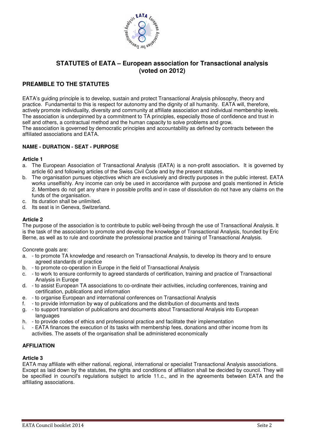

## **STATUTES of EATA – European association for Transactional analysis (voted on 2012)**

## **PREAMBLE TO THE STATUTES**

EATA's guiding principle is to develop, sustain and protect Transactional Analysis philosophy, theory and practice. Fundamental to this is respect for autonomy and the dignity of all humanity. EATA will, therefore, actively promote individuality, diversity and community at affiliate association and individual membership levels. The association is underpinned by a commitment to TA principles, especially those of confidence and trust in self and others, a contractual method and the human capacity to solve problems and grow. The association is governed by democratic principles and accountability as defined by contracts between the affiliated associations and EATA.

#### **NAME - DURATION - SEAT - PURPOSE**

#### **Article 1**

- a. The European Association of Transactional Analysis (EATA) is a non-profit association**.** It is governed by article 60 and following articles of the Swiss Civil Code and by the present statutes.
- b. The organisation pursues objectives which are exclusively and directly purposes in the public interest. EATA works unselfishly. Any income can only be used in accordance with purpose and goals mentioned in Article 2. Members do not get any share in possible profits and in case of dissolution do not have any claims on the funds of the organisation.
- c. Its duration shall be unlimited.
- d. Its seat is in Geneva, Switzerland.

#### **Article 2**

The purpose of the association is to contribute to public well-being through the use of Transactional Analysis. It is the task of the association to promote and develop the knowledge of Transactional Analysis, founded by Eric Berne, as well as to rule and coordinate the professional practice and training of Transactional Analysis.

Concrete goals are:

- a. to promote TA knowledge and research on Transactional Analysis, to develop its theory and to ensure agreed standards of practice
- b. to promote co-operation in Europe in the field of Transactional Analysis
- c. to work to ensure conformity to agreed standards of certification, training and practice of Transactional Analysis in Europe
- d. to assist European TA associations to co-ordinate their activities, including conferences, training and certification, publications and information
- e. to organise European and international conferences on Transactional Analysis
- f. to provide information by way of publications and the distribution of documents and texts
- g. to support translation of publications and documents about Transactional Analysis into European languages
- h. to provide codes of ethics and professional practice and facilitate their implementation
- i. EATA finances the execution of its tasks with membership fees, donations and other income from its activities. The assets of the organisation shall be administered economically

#### **AFFILIATION**

#### **Article 3**

EATA may affiliate with either national, regional, international or specialist Transactional Analysis associations. Except as laid down by the statutes, the rights and conditions of affiliation shall be decided by council. They will be specified in council's regulations subject to article 11.c., and in the agreements between EATA and the affiliating associations.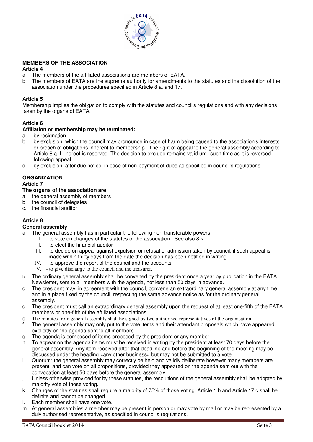

#### **MEMBERS OF THE ASSOCIATION**

#### **Article 4**

- a. The members of the affiliated associations are members of EATA.
- b. The members of EATA are the supreme authority for amendments to the statutes and the dissolution of the association under the procedures specified in Article 8.a. and 17.

#### **Article 5**

Membership implies the obligation to comply with the statutes and council's regulations and with any decisions taken by the organs of EATA.

#### **Article 6**

#### **Affiliation or membership may be terminated:**

- a. by resignation
- b. by exclusion, which the council may pronounce in case of harm being caused to the association's interests or breach of obligations inherent to membership. The right of appeal to the general assembly according to Article 8.a.III. hereof is reserved. The decision to exclude remains valid until such time as it is reversed following appeal
- c. by exclusion, after due notice, in case of non-payment of dues as specified in council's regulations.

#### **ORGANIZATION**

#### **Article 7**

#### **The organs of the association are:**

- a. the general assembly of members
- b. the council of delegates
- c. the financial auditor

#### **Article 8**

#### **General assembly**

- a. The general assembly has in particular the following non-transferable powers:
	- I. to vote on changes of the statutes of the association. See also 8.k
	- II. to elect the financial auditor
	- III. to decide on appeal against expulsion or refusal of admission taken by council, if such appeal is made within thirty days from the date the decision has been notified in writing
	- IV. to approve the report of the council and the accounts
	- V. to give discharge to the council and the treasurer.
- b. The ordinary general assembly shall be convened by the president once a year by publication in the EATA Newsletter, sent to all members with the agenda, not less than 50 days in advance.
- c. The president may, in agreement with the council, convene an extraordinary general assembly at any time and in a place fixed by the council, respecting the same advance notice as for the ordinary general assembly.
- d. The president must call an extraordinary general assembly upon the request of at least one-fifth of the EATA members or one-fifth of the affiliated associations.
- e. The minutes from general assembly shall be signed by two authorised representatives of the organisation.
- f. The general assembly may only put to the vote items and their attendant proposals which have appeared explicitly on the agenda sent to all members.
- g. The agenda is composed of items proposed by the president or any member.
- h. To appear on the agenda items must be received in writing by the president at least 70 days before the general assembly. Any item received after that deadline and before the beginning of the meeting may be discussed under the heading «any other business» but may not be submitted to a vote.
- i. Quorum: the general assembly may correctly be held and validly deliberate however many members are present, and can vote on all propositions, provided they appeared on the agenda sent out with the convocation at least 50 days before the general assembly.
- j. Unless otherwise provided for by these statutes, the resolutions of the general assembly shall be adopted by majority vote of those voting.
- k. Changes of the statutes shall require a majority of 75% of those voting. Article 1.b and Article 17.c shall be definite and cannot be changed.
- l. Each member shall have one vote.
- m. At general assemblies a member may be present in person or may vote by mail or may be represented by a duly authorised representative, as specified in council's regulations.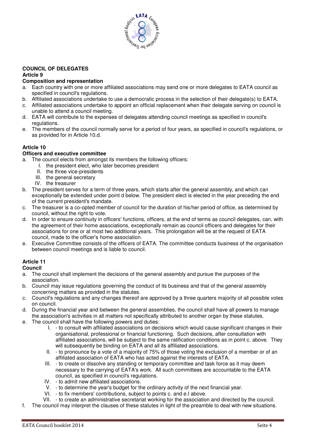

#### **COUNCIL OF DELEGATES Article 9**

#### **Composition and representation**

- a. Each country with one or more affiliated associations may send one or more delegates to EATA council as specified in council's regulations.
- b. Affiliated associations undertake to use a democratic process in the selection of their delegate(s) to EATA.
- c. Affiliated associations undertake to appoint an official replacement when their delegate serving on council is unable to attend a council meeting.
- d. EATA will contribute to the expenses of delegates attending council meetings as specified in council's regulations.
- e. The members of the council normally serve for a period of four years, as specified in council's regulations, or as provided for in Article 10.d.

#### **Article 10**

#### **Officers and executive committee**

- a. The council elects from amongst its members the following officers:
	- I. the president elect, who later becomes president
	- II. the three vice-presidents
	- III. the general secretary
	- IV. the treasurer
- b. The president serves for a term of three years, which starts after the general assembly, and which can exceptionally be extended under point d below. The president elect is elected in the year preceding the end of the current president's mandate.
- c. The treasurer is a co-opted member of council for the duration of his/her period of office, as determined by council, without the right to vote.
- d. In order to ensure continuity in officers' functions, officers, at the end of terms as council delegates, can, with the agreement of their home associations, exceptionally remain as council officers and delegates for their associations for one or at most two additional years. This prolongation will be at the request of EATA council, made to the officer's home association.
- e. Executive Committee consists of the officers of EATA. The committee conducts business of the organisation between council meetings and is liable to council.

#### **Article 11**

#### **Council**

- a. The council shall implement the decisions of the general assembly and pursue the purposes of the association.
- b. Council may issue regulations governing the conduct of its business and that of the general assembly concerning matters as provided in the statutes.
- c. Council's regulations and any changes thereof are approved by a three quarters majority of all possible votes on council.
- d. During the financial year and between the general assemblies, the council shall have all powers to manage
- the association's activities in all matters not specifically attributed to another organ by these statutes. e. The council shall have the following powers and duties:
	- I. to consult with affiliated associations on decisions which would cause significant changes in their organisational, professional or financial functioning. Such decisions, after consultation with affiliated associations, will be subject to the same ratification conditions as in point c. above. They will subsequently be binding on EATA and all its affiliated associations.
	- II. to pronounce by a vote of a majority of 75% of those voting the exclusion of a member or of an affiliated association of EATA who has acted against the interests of EATA.
	- III. to create or dissolve any standing or temporary committee and task force as it may deem necessary to the carrying of EATA's work. All such committees are accountable to the EATA council, as specified in council's regulations.
	- IV. to admit new affiliated associations.
	- V. to determine the year's budget for the ordinary activity of the next financial year.
	- VI. to fix members' contributions, subject to points c. and e.I above.
	- VII. to create an administrative secretariat working for the association and directed by the council.
- f. The council may interpret the clauses of these statutes in light of the preamble to deal with new situations.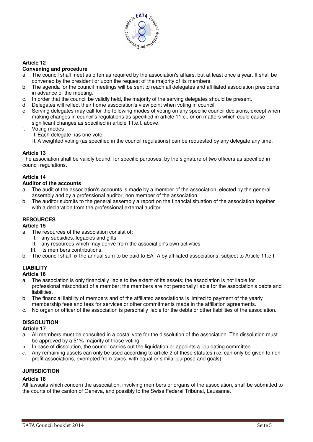

#### **Article 12**

#### **Convening and procedure**

- The council shall meet as often as required by the association's affairs, but at least once a year. It shall be convened by the president or upon the request of the majority of its members.
- b. The agenda for the council meetings will be sent to reach all delegates and affiliated association presidents in advance of the meeting.
- c. In order that the council be validly held, the majority of the serving delegates should be present.
- d. Delegates will reflect their home association's view point when voting in council.
- e. Serving delegates may call for the following modes of voting on any specific council decisions, except when making changes in council's regulations as specified in article 11.c., or on matters which could cause significant changes as specified in article 11.e.I. above.
- f. Voting modes
	- I. Each delegate has one vote.
	- II. A weighted voting (as specified in the council regulations) can be requested by any delegate any time.

#### **Article 13**

The association shall be validly bound, for specific purposes, by the signature of two officers as specified in council regulations.

#### **Article 14**

#### **Auditor of the accounts**

- a. The audit of the association's accounts is made by a member of the association, elected by the general assembly and by a professional auditor, non member of the association.
- b. The auditor submits to the general assembly a report on the financial situation of the association together with a declaration from the professional external auditor.

#### **RESOURCES**

#### **Article 15**

- a. The resources of the association consist of:
	- I. any subsidies, legacies and gifts
	- II. any resources which may derive from the association's own activities
	- III. its members contributions.
- b. The council shall fix the annual sum to be paid to EATA by affiliated associations, subject to Article 11.e.I.

## **LIABILITY**

#### **Article 16**

- a. The association is only financially liable to the extent of its assets; the association is not liable for professional misconduct of a member; the members are not personally liable for the association's debts and **liabilities**
- b. The financial liability of members and of the affiliated associations is limited to payment of the yearly membership fees and fees for services or other commitments made in the affiliation agreements.
- c. No organ or officer of the association is personally liable for the debts or other liabilities of the association.

## **DISSOLUTION**

**Article 17** 

- a. All members must be consulted in a postal vote for the dissolution of the association. The dissolution must be approved by a 51% majority of those voting.
- b. In case of dissolution, the council carries out the liquidation or appoints a liquidating committee.
- c. Any remaining assets can only be used according to article 2 of these statutes (i.e. can only be given to nonprofit associations, exempted from taxes, with equal or similar purpose and goals).

#### **JURISDICTION**

#### **Article 18**

All lawsuits which concern the association, involving members or organs of the association, shall be submitted to the courts of the canton of Geneva, and possibly to the Swiss Federal Tribunal, Lausanne.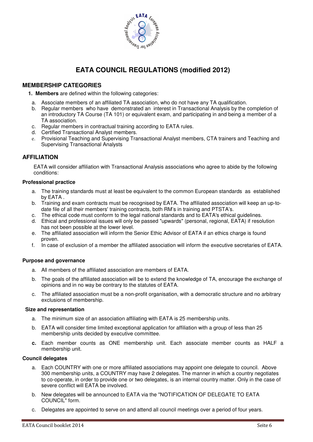

## **EATA COUNCIL REGULATIONS (modified 2012)**

## **MEMBERSHIP CATEGORIES**

 **1. Members** are defined within the following categories:

- a. Associate members of an affiliated TA association, who do not have any TA qualification.
- b. Regular members who have demonstrated an interest in Transactional Analysis by the completion of an introductory TA Course (TA 101) or equivalent exam, and participating in and being a member of a TA association.
- c. Regular members in contractual training according to EATA rules.
- d. Certified Transactional Analyst members.
- e. Provisional Teaching and Supervising Transactional Analyst members, CTA trainers and Teaching and Supervising Transactional Analysts

#### **AFFILIATION**

 EATA will consider affiliation with Transactional Analysis associations who agree to abide by the following conditions:

#### **Professional practice**

- a. The training standards must at least be equivalent to the common European standards as established by EATA .
- b. Training and exam contracts must be recognised by EATA. The affiliated association will keep an up-todate file of all their members' training contracts, both RM's in training and PTSTA's.
- c. The ethical code must conform to the legal national standards and to EATA's ethical guidelines.
- d. Ethical and professional issues will only be passed "upwards" (personal, regional, EATA) if resolution has not been possible at the lower level.
- e. The affiliated association will inform the Senior Ethic Advisor of EATA if an ethics charge is found proven.
- f. In case of exclusion of a member the affiliated association will inform the executive secretaries of EATA.

#### **Purpose and governance**

- a. All members of the affiliated association are members of EATA.
- b. The goals of the affiliated association will be to extend the knowledge of TA, encourage the exchange of opinions and in no way be contrary to the statutes of EATA.
- c. The affiliated association must be a non-profit organisation, with a democratic structure and no arbitrary exclusions of membership.

#### **Size and representation**

- a. The minimum size of an association affiliating with EATA is 25 membership units.
- b. EATA will consider time limited exceptional application for affiliation with a group of less than 25 membership units decided by executive committee.
- **c.** Each member counts as ONE membership unit. Each associate member counts as HALF a membership unit.

#### **Council delegates**

- a. Each COUNTRY with one or more affiliated associations may appoint one delegate to council. Above 300 membership units, a COUNTRY may have 2 delegates. The manner in which a country negotiates to co-operate, in order to provide one or two delegates, is an internal country matter. Only in the case of severe conflict will EATA be involved.
- b. New delegates will be announced to EATA via the "NOTIFICATION OF DELEGATE TO EATA COUNCIL" form.
- c. Delegates are appointed to serve on and attend all council meetings over a period of four years.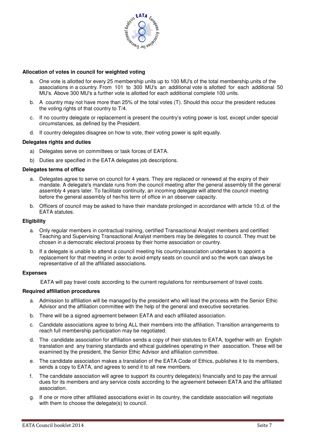

#### **Allocation of votes in council for weighted voting**

- a. One vote is allotted for every 25 membership units up to 100 MU's of the total membership units of the associations in a country. From 101 to 300 MU's an additional vote is allotted for each additional 50 MU's. Above 300 MU's a further vote is allotted for each additional complete 100 units.
- b. A country may not have more than 25% of the total votes (T). Should this occur the president reduces the voting rights of that country to T/4.
- c. If no country delegate or replacement is present the country's voting power is lost, except under special circumstances, as defined by the President.
- d. If country delegates disagree on how to vote, their voting power is split equally.

#### **Delegates rights and duties**

- a) Delegates serve on committees or task forces of EATA.
- b) Duties are specified in the EATA delegates job descriptions.

#### **Delegates terms of office**

- a. Delegates agree to serve on council for 4 years. They are replaced or renewed at the expiry of their mandate. A delegate's mandate runs from the council meeting after the general assembly till the general assembly 4 years later. To facilitate continuity, an incoming delegate will attend the council meeting before the general assembly of her/his term of office in an observer capacity.
- b. Officers of council may be asked to have their mandate prolonged in accordance with article 10.d. of the EATA statutes.

#### **Eligibility**

- a. Only regular members in contractual training, certified Transactional Analyst members and certified Teaching and Supervising Transactional Analyst members may be delegates to council. They must be chosen in a democratic electoral process by their home association or country.
- b. If a delegate is unable to attend a council meeting his country/association undertakes to appoint a replacement for that meeting in order to avoid empty seats on council and so the work can always be representative of all the affiliated associations.

#### **Expenses**

EATA will pay travel costs according to the current regulations for reimbursement of travel costs.

#### **Required affiliation procedures**

- a. Admission to affiliation will be managed by the president who will lead the process with the Senior Ethic Advisor and the affiliation committee with the help of the general and executive secretaries.
- b. There will be a signed agreement between EATA and each affiliated association.
- c. Candidate associations agree to bring ALL their members into the affiliation. Transition arrangements to reach full membership participation may be negotiated.
- d. The candidate association for affiliation sends a copy of their statutes to EATA, together with an English translation and any training standards and ethical guidelines operating in their association. These will be examined by the president, the Senior Ethic Advisor and affiliation committee.
- e. The candidate association makes a translation of the EATA Code of Ethics, publishes it to its members, sends a copy to EATA, and agrees to send it to all new members.
- f. The candidate association will agree to support its country delegate(s) financially and to pay the annual dues for its members and any service costs according to the agreement between EATA and the affiliated association.
- g. If one or more other affiliated associations exist in its country, the candidate association will negotiate with them to choose the delegate(s) to council.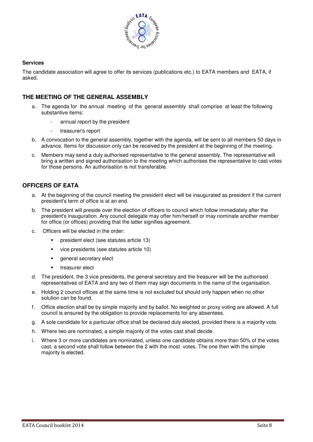

#### **Services**

The candidate association will agree to offer its services (publications etc.) to EATA members and EATA, if asked.

#### **THE MEETING OF THE GENERAL ASSEMBLY**

- a. The agenda for the annual meeting of the general assembly shall comprise at least the following substantive items:
	- annual report by the president
	- treasurer's report
- b. A convocation to the general assembly, together with the agenda, will be sent to all members 50 days in advance. Items for discussion only can be received by the president at the beginning of the meeting.
- c. Members may send a duly authorised representative to the general assembly. The representative will bring a written and signed authorisation to the meeting which authorises the representative to cast votes for those persons. An authorisation is not transferable.

#### **OFFICERS OF EATA**

- a. At the beginning of the council meeting the president elect will be inaugurated as president if the current president's term of office is at an end.
- b. The president will preside over the election of officers to council which follow immediately after the president's inauguration. Any council delegate may offer him/herself or may nominate another member for office (or offices) providing that the latter signifies agreement.
- c. Officers will be elected in the order:
	- **president elect (see statutes article 13)**
	- vice presidents (see statutes article 10)
	- general secretary elect
	- **treasurer elect**
- d. The president, the 3 vice presidents, the general secretary and the treasurer will be the authorised representatives of EATA and any two of them may sign documents in the name of the organisation.
- e. Holding 2 council offices at the same time is not excluded but should only happen when no other solution can be found.
- f. Office election shall be by simple majority and by ballot. No weighted or proxy voting are allowed. A full council is ensured by the obligation to provide replacements for any absentees.
- g. A sole candidate for a particular office shall be declared duly elected, provided there is a majority vote.
- h. Where two are nominated, a simple majority of the votes cast shall decide.
- i. Where 3 or more candidates are nominated, unless one candidate obtains more than 50% of the votes cast, a second vote shall follow between the 2 with the most votes. The one then with the simple majority is elected.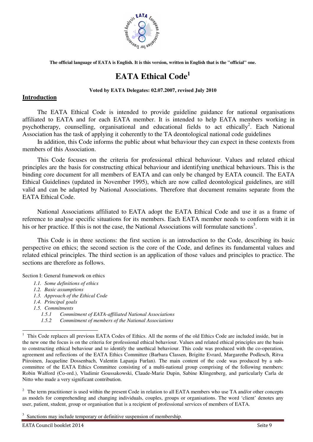

**The official language of EATA is English. It is this version, written in English that is the "official" one.**

# **EATA Ethical Code<sup>1</sup>**

#### **Voted by EATA Delegates: 02.07.2007, revised July 2010**

#### **Introduction**

The EATA Ethical Code is intended to provide guideline guidance for national organisations affiliated to EATA and for each EATA member. It is intended to help EATA members working in psychotherapy, counselling, organisational and educational fields to act ethically<sup>2</sup>. Each National Association has the task of applying it coherently to the TA deontological national code guidelines

In addition, this Code informs the public about what behaviour they can expect in these contexts from members of this Association.

This Code focuses on the criteria for professional ethical behaviour. Values and related ethical principles are the basis for constructing ethical behaviour and identifying unethical behaviours. This is the binding core document for all members of EATA and can only be changed by EATA council. The EATA Ethical Guidelines (updated in November 1995), which are now called deontological guidelines, are still valid and can be adapted by National Associations. Therefore that document remains separate from the EATA Ethical Code.

National Associations affiliated to EATA adopt the EATA Ethical Code and use it as a frame of reference to analyse specific situations for its members. Each EATA member needs to conform with it in his or her practice. If this is not the case, the National Associations will formulate sanctions<sup>3</sup>.

This Code is in three sections: the first section is an introduction to the Code, describing its basic perspective on ethics; the second section is the core of the Code, and defines its fundamental values and related ethical principles. The third section is an application of those values and principles to practice. The sections are therefore as follows.

Section I: General framework on ethics

- *1.1. Some definitions of ethics*
- *1.2. Basic assumptions*
- *1.3. Approach of the Ethical Code*
- *1.4. Principal goals*
- *1.5. Commitments*

-

- *1.5.1 Commitment of EATA-affiliated National Associations*
- *1.5.2 Commitment of members of the National Associations*

 $2\degree$  The term practitioner is used within the present Code in relation to all EATA members who use TA and/or other concepts as models for comprehending and changing individuals, couples, groups or organisations. The word 'client' denotes any user, patient, student, group or organisation that is a recipient of professional services of members of EATA.

<sup>3</sup> Sanctions may include temporary or definitive suspension of membership.

EATA Council booklet 2014 Seite 9

<sup>1</sup> This Code replaces all previous EATA Codes of Ethics. All the norms of the old Ethics Code are included inside, but in the new one the focus is on the criteria for professional ethical behaviour. Values and related ethical principles are the basis to constructing ethical behaviour and to identify the unethical behaviour. This code was produced with the co-operation, agreement and reflections of the EATA Ethics Committee (Barbara Classen, Brigitte Evrard, Margarethe Podlesch, Ritva Piiroinen, Jacqueline Dossenbach, Valentin Lapanja Furlan). The main content of the code was produced by a subcommittee of the EATA Ethics Committee consisting of a multi-national group comprising of the following members: Robin Walford (Co-ord.), Vladimir Goussakowski, Claude-Marie Dupin, Sabine Klingenberg, and particularly Carla de Nitto who made a very significant contribution.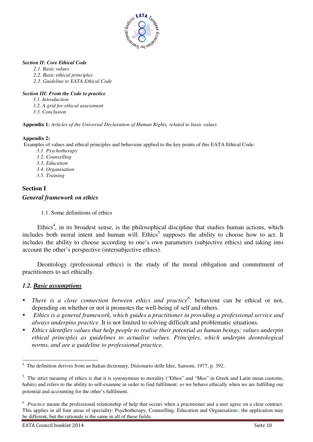

#### *Section II: Core Ethical Code*

- *2.1. Basic values*
- *2.2. Basic ethical principles*
- *2.3. Guideline to EATA Ethical Code*

#### *Section III: From the Code to practice*

- *3.1. Introduction*
- *3.2. A grid for ethical assessment*
- *3.3. Conclusion*

**Appendix 1***: Articles of the Universal Declaration of Human Rights, related to basic values* 

#### **Appendix 2:**

Examples of values and ethical principles and behaviour applied to the key points of this EATA Ethical Code:

- *3.1. Psychotherapy*
- *3.2. Counselling*
- *3.3. Education*
- *3.4. Organisation*
- *3.5. Training*

## **Section I**  *General framework on ethics*

1.1. Some definitions of ethics

Ethics<sup>4</sup>, in its broadest sense, is the philosophical discipline that studies human actions, which includes both moral intent and human will. Ethics<sup>5</sup> supposes the ability to choose how to act. It includes the ability to choose according to one's own parameters (subjective ethics) and taking into account the other's perspective (intersubjective ethics).

Deontology (professional ethics) is the study of the moral obligation and commitment of practitioners to act ethically.

## *1.2. Basic assumptions*

- $\bullet$  *There is a close connection between ethics and practice<sup>6</sup>* : behaviour can be ethical or not, depending on whether or not it promotes the well-being of self and others.
- $\bullet$  *Ethics is a general framework, which guides a practitioner in providing a professional service and always underpins practice.* It is not limited to solving difficult and problematic situations.
- - *Ethics identifies values that help people to realise their potential as human beings; values underpin ethical principles as guidelines to actualise values. Principles, which underpin deontological norms, and are a guideline to professional practice.*

 $\frac{1}{4}$ The definition derives from an Italian dictionary, Dizionario delle Idee, Sansoni, 1977, p. 392.

<sup>&</sup>lt;sup>5</sup> The strict meaning of ethics is that it is synonymous to morality ("Ethos" and "Mos" in Greek and Latin mean customs, habits*)* and refers to the ability to self-examine in order to find fulfilment: so we behave ethically when we are fulfilling our potential and accounting for the other's fulfilment.

<sup>&</sup>lt;sup>6</sup> *Practice* means the professional relationship of help that occurs when a practitioner and a user agree on a clear contract. This applies in all four areas of speciality: Psychotherapy, Counselling, Education and Organisations; the application may be different, but the rationale is the same in all of these fields.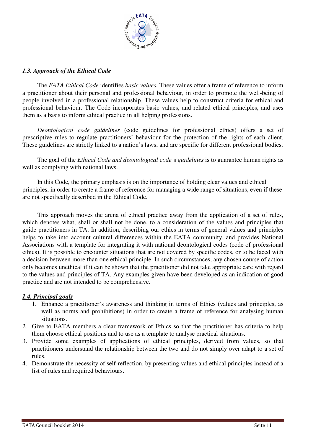

## *1.3. Approach of the Ethical Code*

The *EATA Ethical Code* identifies *basic values.* These values offer a frame of reference to inform a practitioner about their personal and professional behaviour, in order to promote the well-being of people involved in a professional relationship. These values help to construct criteria for ethical and professional behaviour. The Code incorporates basic values, and related ethical principles, and uses them as a basis to inform ethical practice in all helping professions.

*Deontological code guidelines* (code guidelines for professional ethics) offers a set of prescriptive rules to regulate practitioners' behaviour for the protection of the rights of each client. These guidelines are strictly linked to a nation's laws, and are specific for different professional bodies.

The goal of the *Ethical Code and deontological code'*s *guidelines* is to guarantee human rights as well as complying with national laws.

In this Code, the primary emphasis is on the importance of holding clear values and ethical principles, in order to create a frame of reference for managing a wide range of situations, even if these are not specifically described in the Ethical Code.

This approach moves the arena of ethical practice away from the application of a set of rules, which denotes what, shall or shall not be done, to a consideration of the values and principles that guide practitioners in TA. In addition, describing our ethics in terms of general values and principles helps to take into account cultural differences within the EATA community, and provides National Associations with a template for integrating it with national deontological codes (code of professional ethics). It is possible to encounter situations that are not covered by specific codes, or to be faced with a decision between more than one ethical principle. In such circumstances, any chosen course of action only becomes unethical if it can be shown that the practitioner did not take appropriate care with regard to the values and principles of TA. Any examples given have been developed as an indication of good practice and are not intended to be comprehensive.

#### *1.4. Principal goals*

- 1. Enhance a practitioner's awareness and thinking in terms of Ethics (values and principles, as well as norms and prohibitions) in order to create a frame of reference for analysing human situations.
- 2. Give to EATA members a clear framework of Ethics so that the practitioner has criteria to help them choose ethical positions and to use as a template to analyse practical situations.
- 3. Provide some examples of applications of ethical principles, derived from values, so that practitioners understand the relationship between the two and do not simply over adapt to a set of rules.
- 4. Demonstrate the necessity of self-reflection, by presenting values and ethical principles instead of a list of rules and required behaviours.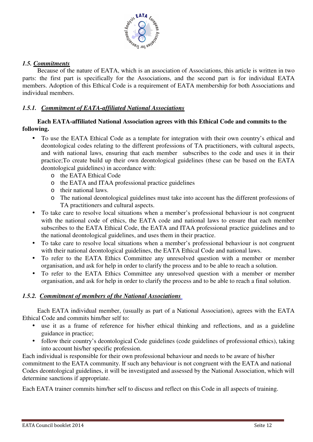

## *1.5. Commitments*

Because of the nature of EATA, which is an association of Associations, this article is written in two parts: the first part is specifically for the Associations, and the second part is for individual EATA members. Adoption of this Ethical Code is a requirement of EATA membership for both Associations and individual members.

## *1.5.1. Commitment of EATA-affiliated National Associations*

## **Each EATA-affiliated National Association agrees with this Ethical Code and commits to the following.**

- To use the EATA Ethical Code as a template for integration with their own country's ethical and deontological codes relating to the different professions of TA practitioners, with cultural aspects, and with national laws, ensuring that each member subscribes to the code and uses it in their practice;To create build up their own deontological guidelines (these can be based on the EATA deontological guidelines) in accordance with:
	- o the EATA Ethical Code
	- o the EATA and ITAA professional practice guidelines
	- o their national laws.
	- o The national deontological guidelines must take into account has the different professions of TA practitioners and cultural aspects.
- To take care to resolve local situations when a member's professional behaviour is not congruent with the national code of ethics, the EATA code and national laws to ensure that each member subscribes to the EATA Ethical Code, the EATA and ITAA professional practice guidelines and to the national deontological guidelines, and uses them in their practice.
- To take care to resolve local situations when a member's professional behaviour is not congruent with their national deontological guidelines, the EATA Ethical Code and national laws.
- To refer to the EATA Ethics Committee any unresolved question with a member or member organisation, and ask for help in order to clarify the process and to be able to reach a solution.
- To refer to the EATA Ethics Committee any unresolved question with a member or member organisation, and ask for help in order to clarify the process and to be able to reach a final solution.

## *1.5.2. Commitment of members of the National Associations*

Each EATA individual member, (usually as part of a National Association), agrees with the EATA Ethical Code and commits him/her self to:

- use it as a frame of reference for his/her ethical thinking and reflections, and as a guideline guidance in practice;
- follow their country's deontological Code guidelines (code guidelines of professional ethics), taking into account his/her specific profession.

Each individual is responsible for their own professional behaviour and needs to be aware of his/her commitment to the EATA community. If such any behaviour is not congruent with the EATA and national Codes deontological guidelines, it will be investigated and assessed by the National Association, which will determine sanctions if appropriate.

Each EATA trainer commits him/her self to discuss and reflect on this Code in all aspects of training.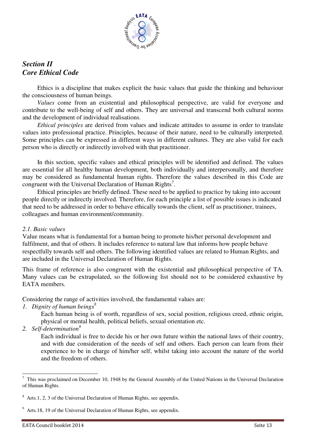

## *Section II Core Ethical Code*

Ethics is a discipline that makes explicit the basic values that guide the thinking and behaviour the consciousness of human beings.

*Values* come from an existential and philosophical perspective, are valid for everyone and contribute to the well-being of self and others. They are universal and transcend both cultural norms and the development of individual realisations.

*Ethical principles* are derived from values and indicate attitudes to assume in order to translate values into professional practice. Principles, because of their nature, need to be culturally interpreted. Some principles can be expressed in different ways in different cultures. They are also valid for each person who is directly or indirectly involved with that practitioner.

In this section, specific values and ethical principles will be identified and defined. The values are essential for all healthy human development, both individually and interpersonally, and therefore may be considered as fundamental human rights. Therefore the values described in this Code are congruent with the Universal Declaration of Human Rights<sup>7</sup>.

Ethical principles are briefly defined. These need to be applied to practice by taking into account people directly or indirectly involved. Therefore, for each principle a list of possible issues is indicated that need to be addressed in order to behave ethically towards the client, self as practitioner, trainees, colleagues and human environment/community.

## *2.1. Basic values*

Value means what is fundamental for a human being to promote his/her personal development and fulfilment, and that of others. It includes reference to natural law that informs how people behave respectfully towards self and others. The following identified values are related to Human Rights, and are included in the Universal Declaration of Human Rights.

This frame of reference is also congruent with the existential and philosophical perspective of TA. Many values can be extrapolated, so the following list should not to be considered exhaustive by EATA members.

Considering the range of activities involved, the fundamental values are:

*1. Dignity of human beings<sup>8</sup>* 

Each human being is of worth, regardless of sex, social position, religious creed, ethnic origin, physical or mental health, political beliefs, sexual orientation etc.

*2. Self-determination<sup>9</sup>*

Each individual is free to decide his or her own future within the national laws of their country, and with due consideration of the needs of self and others. Each person can learn from their experience to be in charge of him/her self, whilst taking into account the nature of the world and the freedom of others.

<sup>&</sup>lt;sup>7</sup> This was proclaimed on December 10, 1948 by the General Assembly of the United Nations in the Universal Declaration of Human Rights.

 $8$  Arts.1, 2, 3 of the Universal Declaration of Human Rights, see appendix.

<sup>&</sup>lt;sup>9</sup> Arts.18, 19 of the Universal Declaration of Human Rights, see appendix.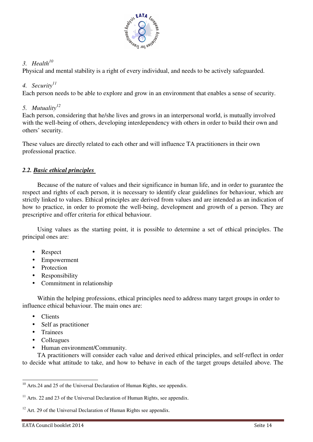

## *3. Health<sup>10</sup>*

Physical and mental stability is a right of every individual, and needs to be actively safeguarded.

## *4. Security<sup>11</sup>*

Each person needs to be able to explore and grow in an environment that enables a sense of security.

## 5. *Mutuality*<sup>12</sup>

Each person, considering that he/she lives and grows in an interpersonal world, is mutually involved with the well-being of others, developing interdependency with others in order to build their own and others' security.

These values are directly related to each other and will influence TA practitioners in their own professional practice.

## *2.2. Basic ethical principles*

Because of the nature of values and their significance in human life, and in order to guarantee the respect and rights of each person, it is necessary to identify clear guidelines for behaviour, which are strictly linked to values. Ethical principles are derived from values and are intended as an indication of how to practice, in order to promote the well-being, development and growth of a person. They are prescriptive and offer criteria for ethical behaviour.

Using values as the starting point, it is possible to determine a set of ethical principles. The principal ones are:

- Respect
- Empowerment
- Protection
- Responsibility
- Commitment in relationship

Within the helping professions, ethical principles need to address many target groups in order to influence ethical behaviour. The main ones are:

- Clients
- Self as practitioner
- Trainees

j

- Colleagues
- Human environment/Community.

TA practitioners will consider each value and derived ethical principles, and self-reflect in order to decide what attitude to take, and how to behave in each of the target groups detailed above. The

<sup>&</sup>lt;sup>10</sup> Arts.24 and 25 of the Universal Declaration of Human Rights, see appendix.

 $11$  Arts. 22 and 23 of the Universal Declaration of Human Rights, see appendix.

 $12$  Art. 29 of the Universal Declaration of Human Rights see appendix.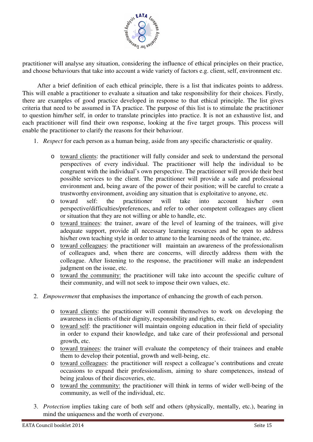

practitioner will analyse any situation, considering the influence of ethical principles on their practice, and choose behaviours that take into account a wide variety of factors e.g. client, self, environment etc.

After a brief definition of each ethical principle, there is a list that indicates points to address. This will enable a practitioner to evaluate a situation and take responsibility for their choices. Firstly, there are examples of good practice developed in response to that ethical principle. The list gives criteria that need to be assumed in TA practice. The purpose of this list is to stimulate the practitioner to question him/her self, in order to translate principles into practice. It is not an exhaustive list, and each practitioner will find their own response, looking at the five target groups. This process will enable the practitioner to clarify the reasons for their behaviour.

- 1. *Respect* for each person as a human being, aside from any specific characteristic or quality.
	- o toward clients: the practitioner will fully consider and seek to understand the personal perspectives of every individual. The practitioner will help the individual to be congruent with the individual's own perspective. The practitioner will provide their best possible services to the client. The practitioner will provide a safe and professional environment and, being aware of the power of their position; will be careful to create a trustworthy environment, avoiding any situation that is exploitative to anyone, etc.
	- o toward self: the practitioner will take into account his/her own perspective/difficulties/preferences, and refer to other competent colleagues any client or situation that they are not willing or able to handle, etc.
	- o toward trainees: the trainer, aware of the level of learning of the trainees, will give adequate support, provide all necessary learning resources and be open to address his/her own teaching style in order to attune to the learning needs of the trainee, etc.
	- o toward colleagues: the practitioner will maintain an awareness of the professionalism of colleagues and, when there are concerns, will directly address them with the colleague. After listening to the response, the practitioner will make an independent judgment on the issue, etc.
	- o toward the community: the practitioner will take into account the specific culture of their community, and will not seek to impose their own values, etc.
- 2. *Empowerment* that emphasises the importance of enhancing the growth of each person.
	- o toward clients: the practitioner will commit themselves to work on developing the awareness in clients of their dignity, responsibility and rights, etc.
	- o toward self: the practitioner will maintain ongoing education in their field of speciality in order to expand their knowledge, and take care of their professional and personal growth, etc.
	- o toward trainees: the trainer will evaluate the competency of their trainees and enable them to develop their potential, growth and well-being, etc.
	- o toward colleagues: the practitioner will respect a colleague's contributions and create occasions to expand their professionalism, aiming to share competences, instead of being jealous of their discoveries, etc.
	- o toward the community: the practitioner will think in terms of wider well-being of the community, as well of the individual, etc.
- 3. *Protection* implies taking care of both self and others (physically, mentally, etc.), bearing in mind the uniqueness and the worth of everyone.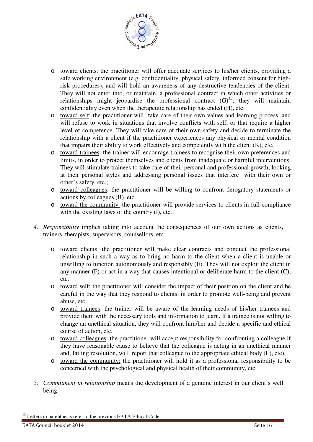

- o toward clients: the practitioner will offer adequate services to his/her clients, providing a safe working environment (e.g. confidentiality, physical safety, informed consent for highrisk procedures), and will hold an awareness of any destructive tendencies of the client. They will not enter into, or maintain, a professional contract in which other activities or relationships might jeopardise the professional contract  $(G)^{13}$ ; they will maintain confidentiality even when the therapeutic relationship has ended (H), etc.
- o toward self: the practitioner will take care of their own values and learning process, and will refuse to work in situations that involve conflicts with self, or that require a higher level of competence. They will take care of their own safety and decide to terminate the relationship with a client if the practitioner experiences any physical or mental condition that impairs their ability to work effectively and competently with the client (K), etc.
- o toward trainees: the trainer will encourage trainees to recognise their own preferences and limits, in order to protect themselves and clients from inadequate or harmful interventions. They will stimulate trainees to take care of their personal and professional growth, looking at their personal styles and addressing personal issues that interfere with their own or other's safety, etc.;
- o toward colleagues: the practitioner will be willing to confront derogatory statements or actions by colleagues (B), etc.
- o toward the community: the practitioner will provide services to clients in full compliance with the existing laws of the country (I), etc.
- *4. Responsibility* implies taking into account the consequences of our own actions as clients, trainers, therapists, supervisors, counsellors, etc.
	- o toward clients: the practitioner will make clear contracts and conduct the professional relationship in such a way as to bring no harm to the client when a client is unable or unwilling to function autonomously and responsibly (E). They will not exploit the client in any manner  $(F)$  or act in a way that causes intentional or deliberate harm to the client  $(C)$ , etc.
	- o toward self: the practitioner will consider the impact of their position on the client and be careful in the way that they respond to clients, in order to promote well-being and prevent abuse, etc.
	- o toward trainees: the trainer will be aware of the learning needs of his/her trainees and provide them with the necessary tools and information to learn. If a trainee is not willing to change an unethical situation, they will confront him/her and decide a specific and ethical course of action, etc.
	- o toward colleagues: the practitioner will accept responsibility for confronting a colleague if they have reasonable cause to believe that the colleague is acting in an unethical manner and, failing resolution, will report that colleague to the appropriate ethical body (L), etc).
	- o toward the community: the practitioner will hold it as a professional responsibility to be concerned with the psychological and physical health of their community, etc.
- *5. Commitment in relationship* means the development of a genuine interest in our client's well being.

j  $13$  Letters in parenthesis refer to the previous EATA Ethical Code.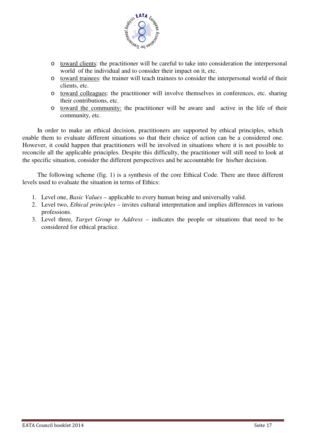

- o toward clients: the practitioner will be careful to take into consideration the interpersonal world of the individual and to consider their impact on it, etc.
- o toward trainees: the trainer will teach trainees to consider the interpersonal world of their clients, etc.
- o toward colleagues: the practitioner will involve themselves in conferences, etc. sharing their contributions, etc.
- o toward the community: the practitioner will be aware and active in the life of their community, etc.

In order to make an ethical decision, practitioners are supported by ethical principles, which enable them to evaluate different situations so that their choice of action can be a considered one. However, it could happen that practitioners will be involved in situations where it is not possible to reconcile all the applicable principles. Despite this difficulty, the practitioner will still need to look at the specific situation, consider the different perspectives and be accountable for his/her decision.

The following scheme (fig. 1) is a synthesis of the core Ethical Code. There are three different levels used to evaluate the situation in terms of Ethics:

- 1. Level one, *Basic Values*  applicable to every human being and universally valid.
- 2. Level two, *Ethical principles* invites cultural interpretation and implies differences in various professions.
- 3. Level three, *Target Group to Address*  indicates the people or situations that need to be considered for ethical practice.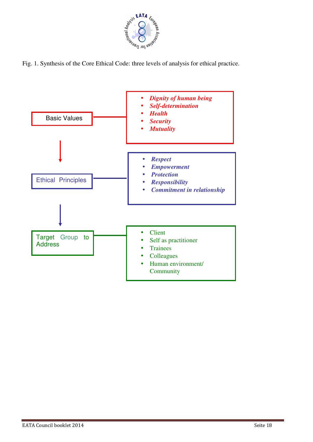

Fig. 1. Synthesis of the Core Ethical Code: three levels of analysis for ethical practice.

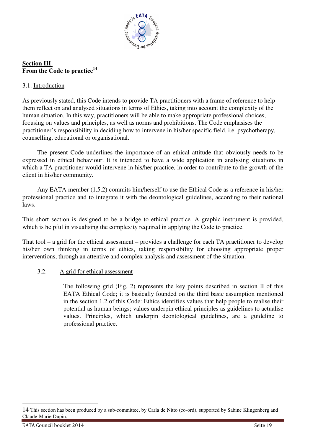

## **Section III From the Code to practice<sup>14</sup>**

## 3.1. Introduction

As previously stated, this Code intends to provide TA practitioners with a frame of reference to help them reflect on and analysed situations in terms of Ethics, taking into account the complexity of the human situation. In this way, practitioners will be able to make appropriate professional choices, focusing on values and principles, as well as norms and prohibitions. The Code emphasises the practitioner's responsibility in deciding how to intervene in his/her specific field, i.e. psychotherapy, counselling, educational or organisational.

The present Code underlines the importance of an ethical attitude that obviously needs to be expressed in ethical behaviour. It is intended to have a wide application in analysing situations in which a TA practitioner would intervene in his/her practice, in order to contribute to the growth of the client in his/her community.

Any EATA member (1.5.2) commits him/herself to use the Ethical Code as a reference in his/her professional practice and to integrate it with the deontological guidelines, according to their national laws.

This short section is designed to be a bridge to ethical practice. A graphic instrument is provided, which is helpful in visualising the complexity required in applying the Code to practice.

That tool – a grid for the ethical assessment – provides a challenge for each TA practitioner to develop his/her own thinking in terms of ethics, taking responsibility for choosing appropriate proper interventions, through an attentive and complex analysis and assessment of the situation.

## 3.2. A grid for ethical assessment

The following grid (Fig. 2) represents the key points described in section II of this EATA Ethical Code; it is basically founded on the third basic assumption mentioned in the section 1.2 of this Code: Ethics identifies values that help people to realise their potential as human beings; values underpin ethical principles as guidelines to actualise values. Principles, which underpin deontological guidelines, are a guideline to professional practice.

-

<sup>14</sup> This section has been produced by a sub-committee, by Carla de Nitto (co-ord), supported by Sabine Klingenberg and Claude-Marie Dupin.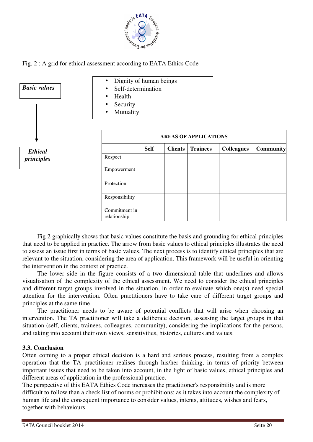





Fig 2 graphically shows that basic values constitute the basis and grounding for ethical principles that need to be applied in practice. The arrow from basic values to ethical principles illustrates the need to assess an issue first in terms of basic values. The next process is to identify ethical principles that are relevant to the situation, considering the area of application. This framework will be useful in orienting the intervention in the context of practice.

The lower side in the figure consists of a two dimensional table that underlines and allows visualisation of the complexity of the ethical assessment. We need to consider the ethical principles and different target groups involved in the situation, in order to evaluate which one(s) need special attention for the intervention. Often practitioners have to take care of different target groups and principles at the same time.

The practitioner needs to be aware of potential conflicts that will arise when choosing an intervention. The TA practitioner will take a deliberate decision, assessing the target groups in that situation (self, clients, trainees, colleagues, community), considering the implications for the persons, and taking into account their own views, sensitivities, histories, cultures and values.

#### **3.3. Conclusion**

Often coming to a proper ethical decision is a hard and serious process, resulting from a complex operation that the TA practitioner realises through his/her thinking, in terms of priority between important issues that need to be taken into account, in the light of basic values, ethical principles and different areas of application in the professional practice.

The perspective of this EATA Ethics Code increases the practitioner's responsibility and is more difficult to follow than a check list of norms or prohibitions; as it takes into account the complexity of human life and the consequent importance to consider values, intents, attitudes, wishes and fears, together with behaviours.